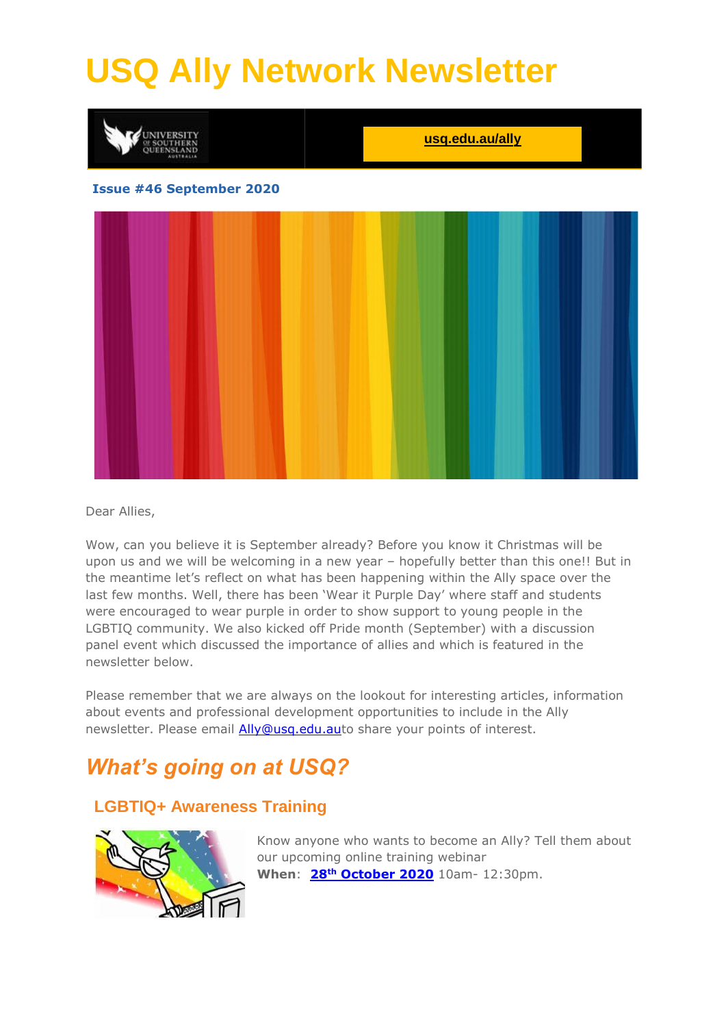# **USQ Ally Network Newsletter**



#### Dear Allies,

Wow, can you believe it is September already? Before you know it Christmas will be upon us and we will be welcoming in a new year – hopefully better than this one!! But in the meantime let's reflect on what has been happening within the Ally space over the last few months. Well, there has been 'Wear it Purple Day' where staff and students were encouraged to wear purple in order to show support to young people in the LGBTIQ community. We also kicked off Pride month (September) with a discussion panel event which discussed the importance of allies and which is featured in the newsletter below.

Please remember that we are always on the lookout for interesting articles, information about events and professional development opportunities to include in the Ally newsletter. Please email [Ally@usq.edu.aut](mailto:Ally@usq.edu.au)o share your points of interest.

## *What's going on at USQ?*

### **LGBTIQ+ Awareness Training**



Know anyone who wants to become an Ally? Tell them about our upcoming online training webinar **When**: **28th [October 2020](https://usq.zoom.us/webinar/register/WN_N3uKy9U9S1-S2qVLYZBrug)** 10am- 12:30pm.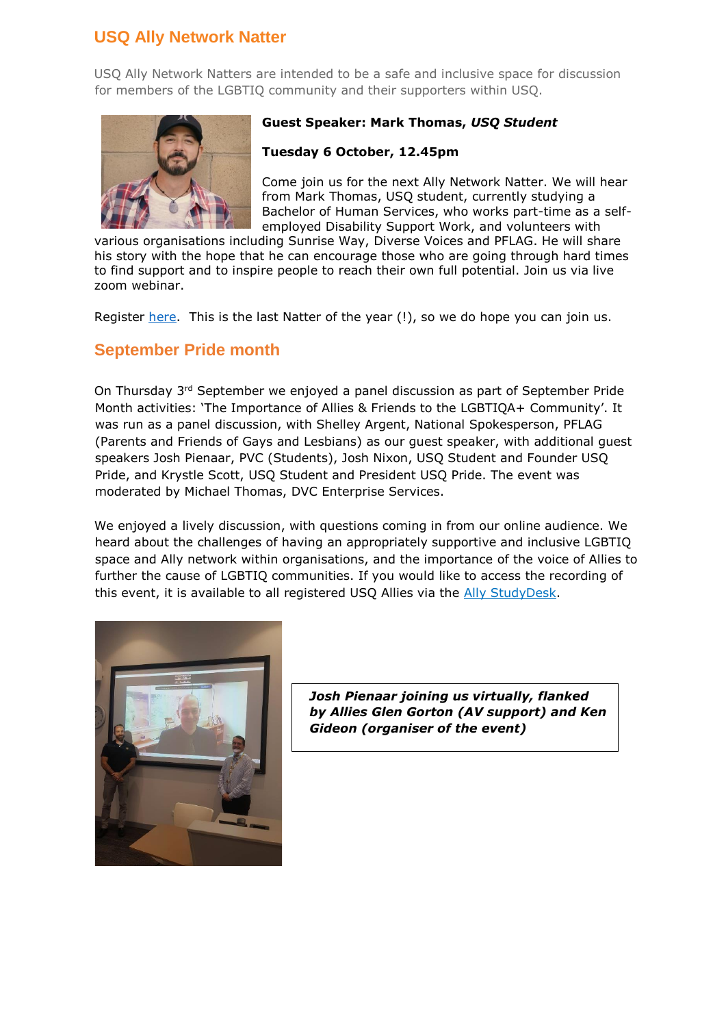### **USQ Ally Network Natter**

USQ Ally Network Natters are intended to be a safe and inclusive space for discussion for members of the LGBTIQ community and their supporters within USQ.



#### **Guest Speaker: Mark Thomas,** *USQ Student*

#### **Tuesday 6 October, 12.45pm**

Come join us for the next Ally Network Natter. We will hear from Mark Thomas, USQ student, currently studying a Bachelor of Human Services, who works part-time as a selfemployed Disability Support Work, and volunteers with

various organisations including Sunrise Way, Diverse Voices and PFLAG. He will share his story with the hope that he can encourage those who are going through hard times to find support and to inspire people to reach their own full potential. Join us via live zoom webinar.

Register [here.](https://usq.zoom.us/webinar/register/WN_3N6ZqRslTrmhQDDbrfhSQw) This is the last Natter of the year (!), so we do hope you can join us.

### **September Pride month**

On Thursday 3rd September we enjoyed a panel discussion as part of September Pride Month activities: 'The Importance of Allies & Friends to the LGBTIQA+ Community'. It was run as a panel discussion, with Shelley Argent, National Spokesperson, PFLAG (Parents and Friends of Gays and Lesbians) as our guest speaker, with additional guest speakers Josh Pienaar, PVC (Students), Josh Nixon, USQ Student and Founder USQ Pride, and Krystle Scott, USQ Student and President USQ Pride. The event was moderated by Michael Thomas, DVC Enterprise Services.

We enjoyed a lively discussion, with questions coming in from our online audience. We heard about the challenges of having an appropriately supportive and inclusive LGBTIQ space and Ally network within organisations, and the importance of the voice of Allies to further the cause of LGBTIQ communities. If you would like to access the recording of this event, it is available to all registered USQ Allies via the [Ally StudyDesk.](https://usqstudydesk.usq.edu.au/m2/mod/equella/view.php?id=1596309)



*Josh Pienaar joining us virtually, flanked by Allies Glen Gorton (AV support) and Ken Gideon (organiser of the event)*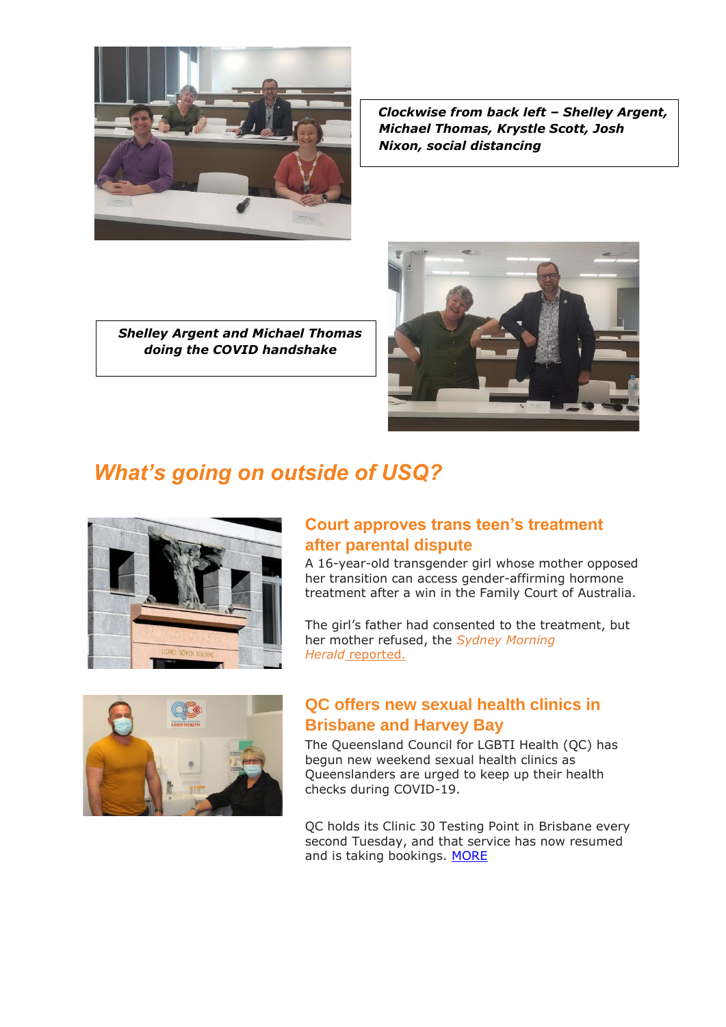

*Clockwise from back left – Shelley Argent, Michael Thomas, Krystle Scott, Josh Nixon, social distancing*

*Shelley Argent and Michael Thomas doing the COVID handshake*



# *What's going on outside of USQ?*



### **Court approves trans teen's treatment after parental dispute**

A 16-year-old transgender girl whose mother opposed her transition can access gender-affirming hormone treatment after a win in the Family Court of Australia.

The girl's father had consented to the treatment, but her mother refused, the *[Sydney Morning](https://www.smh.com.au/national/court-approves-treatment-for-transgender-teen-amid-parental-dispute-20200911-p55une.html)*  Herald\_[reported.](https://www.smh.com.au/national/court-approves-treatment-for-transgender-teen-amid-parental-dispute-20200911-p55une.html)



### **QC offers new sexual health clinics in Brisbane and Harvey Bay**

The Queensland Council for LGBTI Health (QC) has begun new weekend sexual health clinics as Queenslanders are urged to keep up their health checks during COVID-19.

QC holds its Clinic 30 Testing Point in Brisbane every second Tuesday, and that service has now resumed and is taking bookings. [MORE](https://qnews.com.au/qc-offers-new-sexual-health-clinics-for-brisbane-and-hervey-bay/)